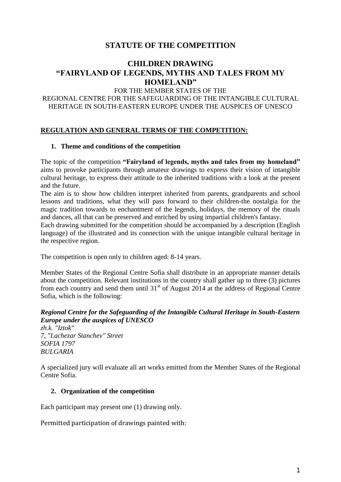# **STATUTE OF THE COMPETITION**

# **CHILDREN DRAWING "FAIRYLAND OF LEGENDS, MYTHS AND TALES FROM MY HOMELAND"**

FOR THE МEMBER STATES OF THE

REGIONAL CENTRE FOR THE SAFEGUARDING OF THE INTANGIBLE CULTURAL HERITAGE IN SOUTH-EASTERN EUROPE UNDER THE AUSPICES OF UNESCO

## **REGULATION AND GENERAL TERMS OF THE COMPETITION:**

### **1. Theme and conditions of the competition**

The topic of the competition **"Fairyland of legends, myths and tales from my homeland"** aims to provoke participants through amateur drawings to express their vision of intangible cultural heritage, to express their attitude to the inherited traditions with a look at the present and the future.

The aim is to show how children interpret inherited from parents, grandparents and school lessons and traditions, what they will pass forward to their children-the nostalgia for the magic tradition towards to enchantment of the legends, holidays, the memory of the rituals and dances, all that can be preserved and enriched by using impartial children's fantasy.

Each drawing submitted for the competition should be accompanied by a description (English language) of the illustrated and its connection with the unique intangible cultural heritage in the respective region.

The competition is open only to children aged: 8-14 years.

Member States of the Regional Centre Sofia shall distribute in an appropriate manner details about the competition. Relevant institutions in the country shall gather up to three (3) pictures from each country and send them until  $31<sup>st</sup>$  of August 2014 at the address of Regional Centre Sofia, which is the following:

# *Regional Centre for the Safeguarding of the Intangible Cultural Heritage in South-Eastern Europe under the auspices of UNESCO*

*zh.k. "Iztok" 7, "Lachezar Stanchev" Street SOFIA 1797 BULGARIA*

A specialized jury will evaluate all art works emitted from the Member States of the Regional Centre Sofia.

## **2. Organization of the competition**

Each participant may present one (1) drawing only.

Permitted participation of drawings painted with: